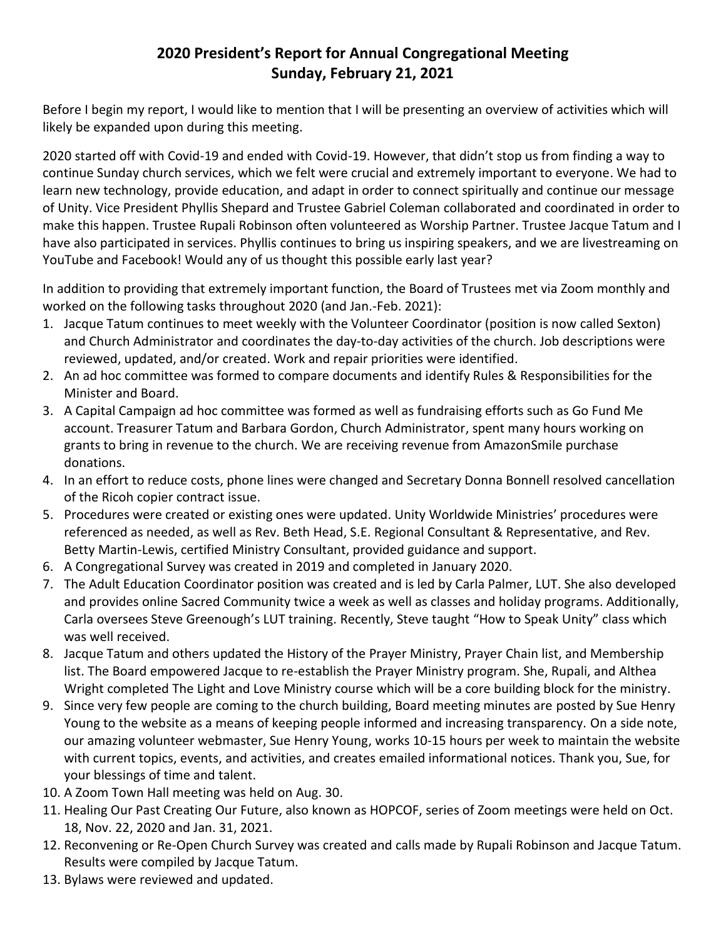## **2020 President's Report for Annual Congregational Meeting Sunday, February 21, 2021**

Before I begin my report, I would like to mention that I will be presenting an overview of activities which will likely be expanded upon during this meeting.

2020 started off with Covid-19 and ended with Covid-19. However, that didn't stop us from finding a way to continue Sunday church services, which we felt were crucial and extremely important to everyone. We had to learn new technology, provide education, and adapt in order to connect spiritually and continue our message of Unity. Vice President Phyllis Shepard and Trustee Gabriel Coleman collaborated and coordinated in order to make this happen. Trustee Rupali Robinson often volunteered as Worship Partner. Trustee Jacque Tatum and I have also participated in services. Phyllis continues to bring us inspiring speakers, and we are livestreaming on YouTube and Facebook! Would any of us thought this possible early last year?

In addition to providing that extremely important function, the Board of Trustees met via Zoom monthly and worked on the following tasks throughout 2020 (and Jan.-Feb. 2021):

- 1. Jacque Tatum continues to meet weekly with the Volunteer Coordinator (position is now called Sexton) and Church Administrator and coordinates the day-to-day activities of the church. Job descriptions were reviewed, updated, and/or created. Work and repair priorities were identified.
- 2. An ad hoc committee was formed to compare documents and identify Rules & Responsibilities for the Minister and Board.
- 3. A Capital Campaign ad hoc committee was formed as well as fundraising efforts such as Go Fund Me account. Treasurer Tatum and Barbara Gordon, Church Administrator, spent many hours working on grants to bring in revenue to the church. We are receiving revenue from AmazonSmile purchase donations.
- 4. In an effort to reduce costs, phone lines were changed and Secretary Donna Bonnell resolved cancellation of the Ricoh copier contract issue.
- 5. Procedures were created or existing ones were updated. Unity Worldwide Ministries' procedures were referenced as needed, as well as Rev. Beth Head, S.E. Regional Consultant & Representative, and Rev. Betty Martin-Lewis, certified Ministry Consultant, provided guidance and support.
- 6. A Congregational Survey was created in 2019 and completed in January 2020.
- 7. The Adult Education Coordinator position was created and is led by Carla Palmer, LUT. She also developed and provides online Sacred Community twice a week as well as classes and holiday programs. Additionally, Carla oversees Steve Greenough's LUT training. Recently, Steve taught "How to Speak Unity" class which was well received.
- 8. Jacque Tatum and others updated the History of the Prayer Ministry, Prayer Chain list, and Membership list. The Board empowered Jacque to re-establish the Prayer Ministry program. She, Rupali, and Althea Wright completed The Light and Love Ministry course which will be a core building block for the ministry.
- 9. Since very few people are coming to the church building, Board meeting minutes are posted by Sue Henry Young to the website as a means of keeping people informed and increasing transparency. On a side note, our amazing volunteer webmaster, Sue Henry Young, works 10-15 hours per week to maintain the website with current topics, events, and activities, and creates emailed informational notices. Thank you, Sue, for your blessings of time and talent.
- 10. A Zoom Town Hall meeting was held on Aug. 30.
- 11. Healing Our Past Creating Our Future, also known as HOPCOF, series of Zoom meetings were held on Oct. 18, Nov. 22, 2020 and Jan. 31, 2021.
- 12. Reconvening or Re-Open Church Survey was created and calls made by Rupali Robinson and Jacque Tatum. Results were compiled by Jacque Tatum.
- 13. Bylaws were reviewed and updated.